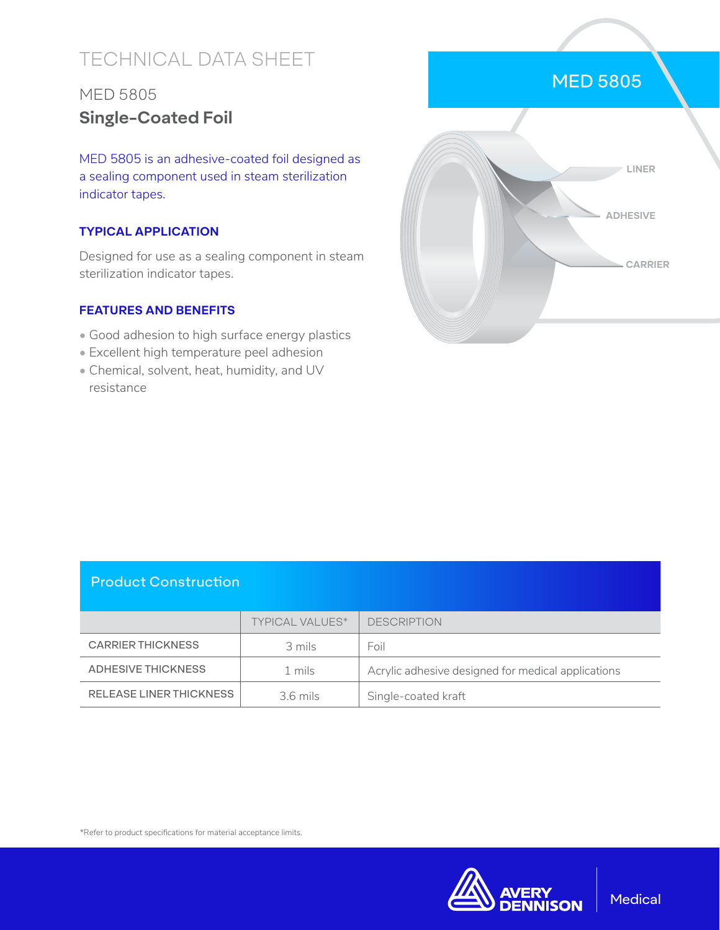# TECHNICAL DATA SHEET

## MED 5805 **Single-Coated Foil**

MED 5805 is an adhesive-coated foil designed as a sealing component used in steam sterilization indicator tapes.

#### **TYPICAL APPLICATION**

Designed for use as a sealing component in steam sterilization indicator tapes.

#### **FEATURES AND BENEFITS**

- Good adhesion to high surface energy plastics
- Excellent high temperature peel adhesion
- Chemical, solvent, heat, humidity, and UV resistance



#### Product Construction

|                          | <b>TYPICAL VALUES*</b>                                       | <b>DESCRIPTION</b>  |
|--------------------------|--------------------------------------------------------------|---------------------|
| <b>CARRIER THICKNESS</b> | 3 mils                                                       | Foil                |
| ADHESIVE THICKNESS       | Acrylic adhesive designed for medical applications<br>1 mils |                     |
| RELEASE LINER THICKNESS  | $3.6$ mils                                                   | Single-coated kraft |